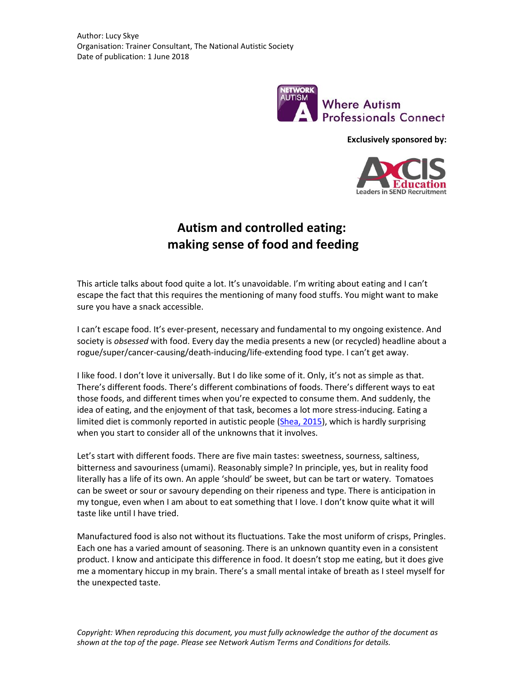

**Exclusively sponsored by:**



## **Autism and controlled eating: making sense of food and feeding**

This article talks about food quite a lot. It's unavoidable. I'm writing about eating and I can't escape the fact that this requires the mentioning of many food stuffs. You might want to make sure you have a snack accessible.

I can't escape food. It's ever-present, necessary and fundamental to my ongoing existence. And society is *obsessed* with food. Every day the media presents a new (or recycled) headline about a rogue/super/cancer-causing/death-inducing/life-extending food type. I can't get away.

I like food. I don't love it universally. But I do like some of it. Only, it's not as simple as that. There's different foods. There's different combinations of foods. There's different ways to eat those foods, and different times when you're expected to consume them. And suddenly, the idea of eating, and the enjoyment of that task, becomes a lot more stress-inducing. Eating a limited diet is commonly reported in autistic people [\(Shea, 2015\)](http://network.autism.org.uk/knowledge/insight-opinion/understanding-and-managing-eating-issues-autism-spectrum), which is hardly surprising when you start to consider all of the unknowns that it involves.

Let's start with different foods. There are five main tastes: [sweetness,](https://en.wikipedia.org/wiki/Taste#Sweetness) sourness, saltiness, bitterness and savouriness (umami). Reasonably simple? In principle, yes, but in reality food literally has a life of its own. An apple 'should' be sweet, but can be tart or watery. Tomatoes can be sweet or sour or savoury depending on their ripeness and type. There is anticipation in my tongue, even when I am about to eat something that I love. I don't know quite what it will taste like until I have tried.

Manufactured food is also not without its fluctuations. Take the most uniform of crisps, Pringles. Each one has a varied amount of seasoning. There is an unknown quantity even in a consistent product. I know and anticipate this difference in food. It doesn't stop me eating, but it does give me a momentary hiccup in my brain. There's a small mental intake of breath as I steel myself for the unexpected taste.

*Copyright: When reproducing this document, you must fully acknowledge the author of the document as shown at the top of the page. Please see Network Autism Terms and Conditions for details.*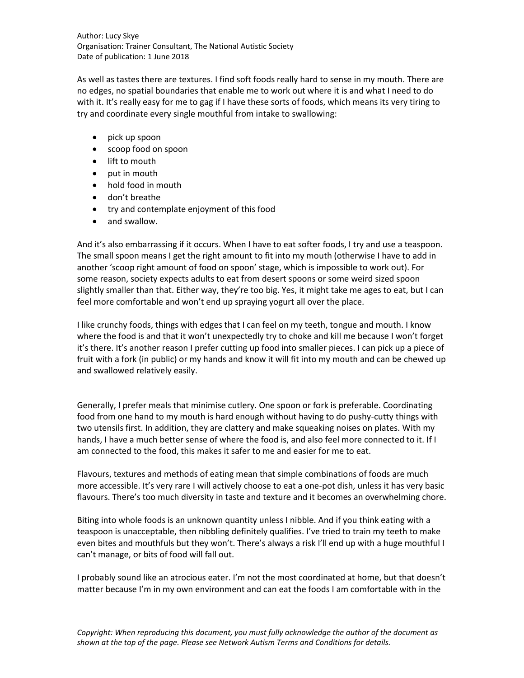Author: Lucy Skye Organisation: Trainer Consultant, The National Autistic Society Date of publication: 1 June 2018

As well as tastes there are textures. I find soft foods really hard to sense in my mouth. There are no edges, no spatial boundaries that enable me to work out where it is and what I need to do with it. It's really easy for me to gag if I have these sorts of foods, which means its very tiring to try and coordinate every single mouthful from intake to swallowing:

- pick up spoon
- scoop food on spoon
- lift to mouth
- put in mouth
- hold food in mouth
- don't breathe
- try and contemplate enjoyment of this food
- and swallow.

And it's also embarrassing if it occurs. When I have to eat softer foods, I try and use a teaspoon. The small spoon means I get the right amount to fit into my mouth (otherwise I have to add in another 'scoop right amount of food on spoon' stage, which is impossible to work out). For some reason, society expects adults to eat from desert spoons or some weird sized spoon slightly smaller than that. Either way, they're too big. Yes, it might take me ages to eat, but I can feel more comfortable and won't end up spraying yogurt all over the place.

I like crunchy foods, things with edges that I can feel on my teeth, tongue and mouth. I know where the food is and that it won't unexpectedly try to choke and kill me because I won't forget it's there. It's another reason I prefer cutting up food into smaller pieces. I can pick up a piece of fruit with a fork (in public) or my hands and know it will fit into my mouth and can be chewed up and swallowed relatively easily.

Generally, I prefer meals that minimise cutlery. One spoon or fork is preferable. Coordinating food from one hand to my mouth is hard enough without having to do pushy-cutty things with two utensils first. In addition, they are clattery and make squeaking noises on plates. With my hands, I have a much better sense of where the food is, and also feel more connected to it. If I am connected to the food, this makes it safer to me and easier for me to eat.

Flavours, textures and methods of eating mean that simple combinations of foods are much more accessible. It's very rare I will actively choose to eat a one-pot dish, unless it has very basic flavours. There's too much diversity in taste and texture and it becomes an overwhelming chore.

Biting into whole foods is an unknown quantity unless I nibble. And if you think eating with a teaspoon is unacceptable, then nibbling definitely qualifies. I've tried to train my teeth to make even bites and mouthfuls but they won't. There's always a risk I'll end up with a huge mouthful I can't manage, or bits of food will fall out.

I probably sound like an atrocious eater. I'm not the most coordinated at home, but that doesn't matter because I'm in my own environment and can eat the foods I am comfortable with in the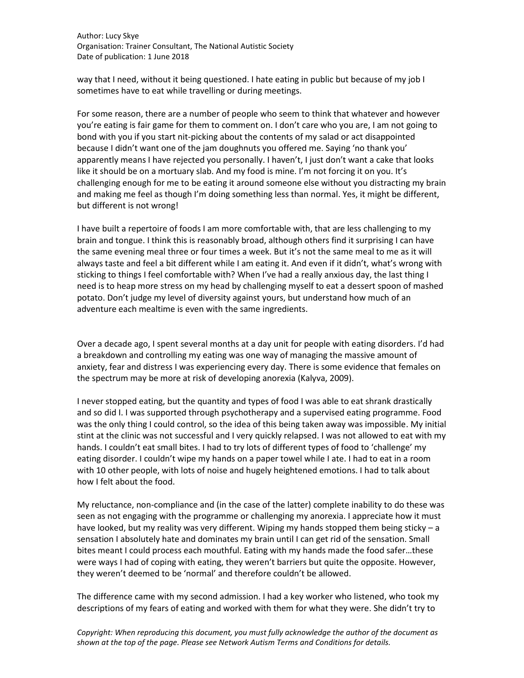Author: Lucy Skye Organisation: Trainer Consultant, The National Autistic Society Date of publication: 1 June 2018

way that I need, without it being questioned. I hate eating in public but because of my job I sometimes have to eat while travelling or during meetings.

For some reason, there are a number of people who seem to think that whatever and however you're eating is fair game for them to comment on. I don't care who you are, I am not going to bond with you if you start nit-picking about the contents of my salad or act disappointed because I didn't want one of the jam doughnuts you offered me. Saying 'no thank you' apparently means I have rejected you personally. I haven't, I just don't want a cake that looks like it should be on a mortuary slab. And my food is mine. I'm not forcing it on you. It's challenging enough for me to be eating it around someone else without you distracting my brain and making me feel as though I'm doing something less than normal. Yes, it might be different, but different is not wrong!

I have built a repertoire of foods I am more comfortable with, that are less challenging to my brain and tongue. I think this is reasonably broad, although others find it surprising I can have the same evening meal three or four times a week. But it's not the same meal to me as it will always taste and feel a bit different while I am eating it. And even if it didn't, what's wrong with sticking to things I feel comfortable with? When I've had a really anxious day, the last thing I need is to heap more stress on my head by challenging myself to eat a dessert spoon of mashed potato. Don't judge my level of diversity against yours, but understand how much of an adventure each mealtime is even with the same ingredients.

Over a decade ago, I spent several months at a day unit for people with eating disorders. I'd had a breakdown and controlling my eating was one way of managing the massive amount of anxiety, fear and distress I was experiencing every day. There is some evidence that females on the spectrum may be more at risk of developing anorexia (Kalyva, 2009).

I never stopped eating, but the quantity and types of food I was able to eat shrank drastically and so did I. I was supported through psychotherapy and a supervised eating programme. Food was the only thing I could control, so the idea of this being taken away was impossible. My initial stint at the clinic was not successful and I very quickly relapsed. I was not allowed to eat with my hands. I couldn't eat small bites. I had to try lots of different types of food to 'challenge' my eating disorder. I couldn't wipe my hands on a paper towel while I ate. I had to eat in a room with 10 other people, with lots of noise and hugely heightened emotions. I had to talk about how I felt about the food.

My reluctance, non-compliance and (in the case of the latter) complete inability to do these was seen as not engaging with the programme or challenging my anorexia. I appreciate how it must have looked, but my reality was very different. Wiping my hands stopped them being sticky - a sensation I absolutely hate and dominates my brain until I can get rid of the sensation. Small bites meant I could process each mouthful. Eating with my hands made the food safer…these were ways I had of coping with eating, they weren't barriers but quite the opposite. However, they weren't deemed to be 'normal' and therefore couldn't be allowed.

The difference came with my second admission. I had a key worker who listened, who took my descriptions of my fears of eating and worked with them for what they were. She didn't try to

*Copyright: When reproducing this document, you must fully acknowledge the author of the document as shown at the top of the page. Please see Network Autism Terms and Conditions for details.*